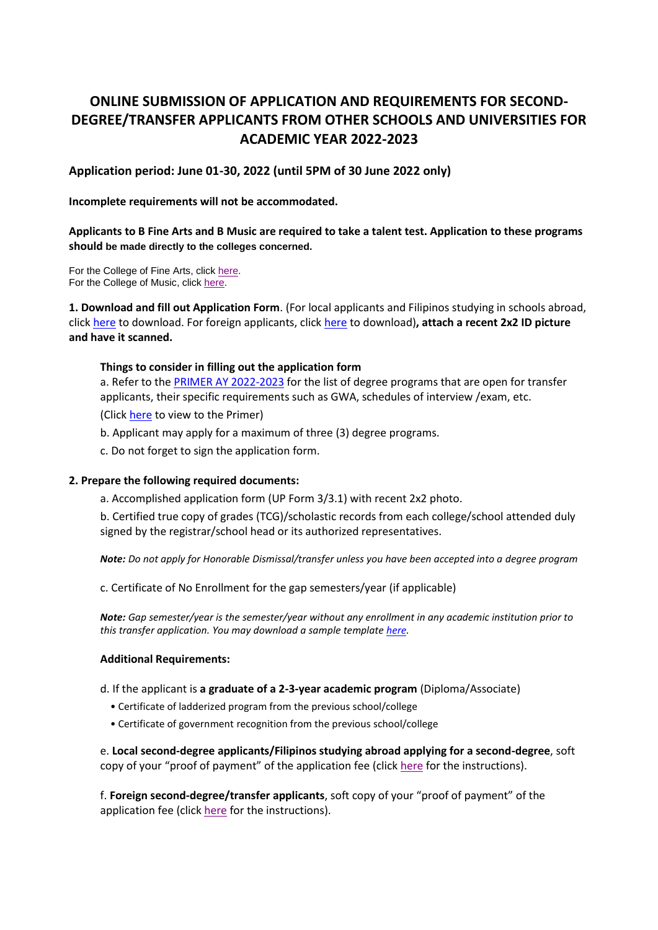# **ONLINE SUBMISSION OF APPLICATION AND REQUIREMENTS FOR SECOND-DEGREE/TRANSFER APPLICANTS FROM OTHER SCHOOLS AND UNIVERSITIES FOR ACADEMIC YEAR 2022-2023**

**Application period: June 01-30, 2022 (until 5PM of 30 June 2022 only)**

#### **Incomplete requirements will not be accommodated.**

# **Applicants to B Fine Arts and B Music are required to take a talent test. Application to these programs should be made directly to the colleges concerned.**

For the College of Fine Arts, click [here.](https://sites.google.com/up.edu.ph/up-cfa-program-admissions/home) For the College of Music, click [here.](https://music.upd.edu.ph/admissions.html)

**1. Download and fill out Application Form**. (For local applicants and Filipinos studying in schools abroad, click [here](https://our.upd.edu.ph/forms/UPFORM3.pdf) to download. For foreign applicants, click [here](https://our.upd.edu.ph/forms/UPFORM3.1.pdf) to download)**, attach a recent 2x2 ID picture and have it scanned.** 

#### **Things to consider in filling out the application form**

a. Refer to the [PRIMER AY 2022-2023](https://our.upd.edu.ph/files/PRIMER%202022-2023.pdf) for the list of degree programs that are open for transfer applicants, their specific requirements such as GWA, schedules of interview /exam, etc. (Click [here](https://our.upd.edu.ph/files/PRIMER%202022-2023.pdf) to view to the Primer)

b. Applicant may apply for a maximum of three (3) degree programs.

c. Do not forget to sign the application form.

### **2. Prepare the following required documents:**

a. Accomplished application form (UP Form 3/3.1) with recent 2x2 photo.

b. Certified true copy of grades (TCG)/scholastic records from each college/school attended duly signed by the registrar/school head or its authorized representatives.

*Note: Do not apply for Honorable Dismissal/transfer unless you have been accepted into a degree program* 

c. Certificate of No Enrollment for the gap semesters/year (if applicable)

*Note: Gap semester/year is the semester/year without any enrollment in any academic institution prior to this transfer application. You may download a sample templat[e here.](https://our.upd.edu.ph/files/certificationgapsems.pdf)*

### **Additional Requirements:**

- d. If the applicant is **a graduate of a 2-3-year academic program** (Diploma/Associate)
	- Certificate of ladderized program from the previous school/college
	- Certificate of government recognition from the previous school/college

e. **Local second-degree applicants/Filipinos studying abroad applying for a second-degree**, soft copy of your "proof of payment" of the application fee (click [here](https://our.upd.edu.ph/files/announce/2degpayproloc.pdf) for the instructions).

f. **Foreign second-degree/transfer applicants**, soft copy of your "proof of payment" of the application fee (clic[k here](https://our.upd.edu.ph/files/announce/2degpayproforeign.pdf) for the instructions).